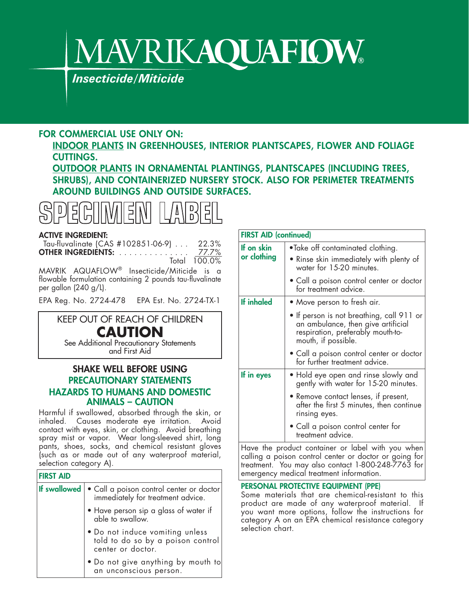# **MAVRIKAQUAFIOW®**

*Insecticide/Miticide*

## **FOR COMMERCIAL USE ONLY ON:**

**INDOOR PLANTS IN GREENHOUSES, INTERIOR PLANTSCAPES, FLOWER AND FOLIAGE CUTTINGS.**

**OUTDOOR PLANTS IN ORNAMENTAL PLANTINGS, PLANTSCAPES (INCLUDING TREES, SHRUBS), AND CONTAINERIZED NURSERY STOCK. ALSO FOR PERIMETER TREATMENTS AROUND BUILDINGS AND OUTSIDE SURFACES.**



#### **ACTIVE INGREDIENT:**

Tau-fluvalinate (CAS #102851-06-9) . . . 22.3% **OTHER INGREDIENTS:** . . . . . . . . . . . . . . 77.7% Total 100.0%

MAVRIK AQUAFLOW® Insecticide/Miticide is a flowable formulation containing 2 pounds tau-fluvalinate per gallon (240 g/L).

EPA Reg. No. 2724-478 EPA Est. No. 2724-TX-1

### KEEP OUT OF REACH OF CHILDREN **CAUTION** See Additional Precautionary Statements

and First Aid

#### **SHAKE WELL BEFORE USING PRECAUTIONARY STATEMENTS HAZARDS TO HUMANS AND DOMESTIC ANIMALS – CAUTION**

Harmful if swallowed, absorbed through the skin, or inhaled. Causes moderate eye irritation. Avoid contact with eyes, skin, or clothing. Avoid breathing spray mist or vapor. Wear long-sleeved shirt, long pants, shoes, socks, and chemical resistant gloves (such as or made out of any waterproof material, selection category A).

| <b>FIRST AID</b>    |                                                                                           |
|---------------------|-------------------------------------------------------------------------------------------|
| <b>If swallowed</b> | • Call a poison control center or doctor<br>immediately for treatment advice.             |
|                     | • Have person sip a glass of water if<br>able to swallow.                                 |
|                     | . Do not induce vomiting unless<br>told to do so by a poison control<br>center or doctor. |
|                     | • Do not give anything by mouth to<br>an unconscious person.                              |

| If on skin        | •Take off contaminated clothing.                                                                                                            |  |  |  |
|-------------------|---------------------------------------------------------------------------------------------------------------------------------------------|--|--|--|
| or clothing       | • Rinse skin immediately with plenty of<br>water for 15-20 minutes.                                                                         |  |  |  |
|                   | • Call a poison control center or doctor<br>for treatment advice.                                                                           |  |  |  |
| <b>If inhaled</b> | • Move person to fresh air.                                                                                                                 |  |  |  |
|                   | • If person is not breathing, call 911 or<br>an ambulance, then give artificial<br>respiration, preferably mouth-to-<br>mouth, if possible. |  |  |  |
|                   | • Call a poison control center or doctor<br>for further treatment advice.                                                                   |  |  |  |
| If in eyes        | • Hold eye open and rinse slowly and<br>gently with water for 15-20 minutes.                                                                |  |  |  |
|                   | • Remove contact lenses, if present,<br>after the first 5 minutes, then continue<br>rinsing eyes.                                           |  |  |  |
|                   | • Call a poison control center for<br>treatment advice.                                                                                     |  |  |  |

Have the product container or label with you when calling a poison control center or doctor or going for treatment. You may also contact 1-800-248-7763 for emergency medical treatment information.

#### **PERSONAL PROTECTIVE EQUIPMENT (PPE)**

Some materials that are chemical-resistant to this product are made of any waterproof material. If you want more options, follow the instructions for category A on an EPA chemical resistance category selection chart.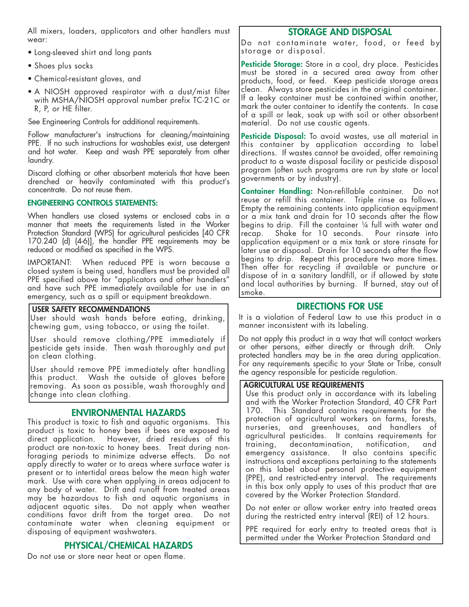All mixers, loaders, applicators and other handlers must wear:

- Long-sleeved shirt and long pants
- Shoes plus socks
- Chemical-resistant gloves, and
- A NIOSH approved respirator with a dust/mist filter with MSHA/NIOSH approval number prefix TC-21C or R, P, or HE filter.

See Engineering Controls for additional requirements.

Follow manufacturer's instructions for cleaning/maintaining PPE. If no such instructions for washables exist, use detergent and hot water. Keep and wash PPE separately from other laundry.

Discard clothing or other absorbent materials that have been drenched or heavily contaminated with this product's concentrate. Do not reuse them.

#### **ENGINEERING CONTROLS STATEMENTS:**

When handlers use closed systems or enclosed cabs in a manner that meets the requirements listed in the Worker Protection Standard (WPS) for agricultural pesticides [40 CFR 170.240 (d) (4-6)], the handler PPE requirements may be reduced or modified as specified in the WPS.

IMPORTANT: When reduced PPE is worn because a closed system is being used, handlers must be provided all PPE specified above for "applicators and other handlers" and have such PPE immediately available for use in an emergency, such as a spill or equipment breakdown.

#### **USER SAFETY RECOMMENDATIONS**

User should wash hands before eating, drinking, chewing gum, using tobacco, or using the toilet.

User should remove clothing/PPE immediately if pesticide gets inside. Then wash thoroughly and put on clean clothing.

User should remove PPE immediately after handling this product. Wash the outside of gloves before removing. As soon as possible, wash thoroughly and change into clean clothing.

#### **ENVIRONMENTAL HAZARDS**

This product is toxic to fish and aquatic organisms. This product is toxic to honey bees if bees are exposed to direct application. However, dried residues of this product are non-toxic to honey bees. Treat during nonforaging periods to minimize adverse effects. Do not apply directly to water or to areas where surface water is present or to intertidal areas below the mean high water mark. Use with care when applying in areas adjacent to any body of water. Drift and runoff from treated areas may be hazardous to fish and aquatic organisms in adjacent aquatic sites. Do not apply when weather conditions favor drift from the target area. Do not contaminate water when cleaning equipment or disposing of equipment washwaters.

#### **PHYSICAL/CHEMICAL HAZARDS**

Do not use or store near heat or open flame.

#### **STORAGE AND DISPOSAL**

Do not contaminate water, food, or feed by storage or disposal.

**Pesticide Storage:** Store in a cool, dry place. Pesticides must be stored in a secured area away from other products, food, or feed. Keep pesticide storage areas clean. Always store pesticides in the original container. If a leaky container must be contained within another, mark the outer container to identify the contents. In case of a spill or leak, soak up with soil or other absorbent material. Do not use caustic agents.

**Pesticide Disposal:** To avoid wastes, use all material in this container by application according to label directions. If wastes cannot be avoided, offer remaining product to a waste disposal facility or pesticide disposal program (often such programs are run by state or local governments or by industry).

**Container Handling:** Non-refillable container. Do not reuse or refill this container. Triple rinse as follows. Empty the remaining contents into application equipment or a mix tank and drain for 10 seconds after the flow begins to drip. Fill the container ¼ full with water and recap. Shake for 10 seconds. Pour rinsate into application equipment or a mix tank or store rinsate for later use or disposal. Drain for 10 seconds after the flow begins to drip. Repeat this procedure two more times. Then offer for recycling if available or puncture or dispose of in a sanitary landfill, or if allowed by state and local authorities by burning. If burned, stay out of smoke.

#### **DIRECTIONS FOR USE**

It is a violation of Federal Law to use this product in a manner inconsistent with its labeling.

Do not apply this product in a way that will contact workers or other persons, either directly or through drift. Only protected handlers may be in the area during application. For any requirements specific to your State or Tribe, consult the agency responsible for pesticide regulation.

#### **AGRICULTURAL USE REQUIREMENTS**

Use this product only in accordance with its labeling and with the Worker Protection Standard, 40 CFR Part 170. This Standard contains requirements for the protection of agricultural workers on farms, forests, nurseries, and greenhouses, and handlers of agricultural pesticides. It contains requirements for training, decontamination, notification, and emergency assistance. It also contains specific instructions and exceptions pertaining to the statements on this label about personal protective equipment (PPE), and restricted-entry interval. The requirements in this box only apply to uses of this product that are covered by the Worker Protection Standard.

Do not enter or allow worker entry into treated areas during the restricted entry interval (REI) of 12 hours.

PPE required for early entry to treated areas that is permitted under the Worker Protection Standard and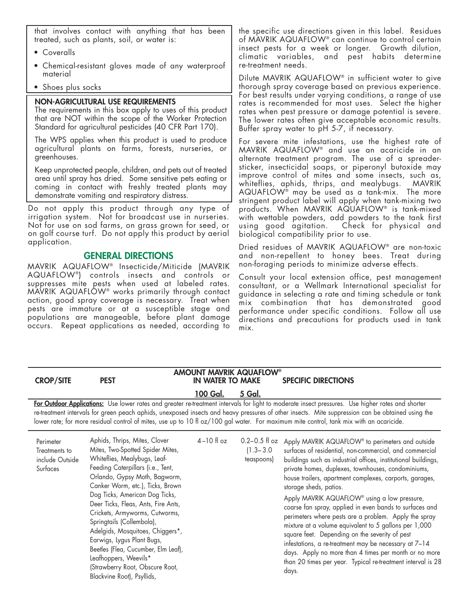that involves contact with anything that has been treated, such as plants, soil, or water is:

- Coveralls
- Chemical-resistant gloves made of any waterproof material
- Shoes plus socks

#### **NON-AGRICULTURAL USE REQUIREMENTS**

The requirements in this box apply to uses of this product that are NOT within the scope of the Worker Protection Standard for agricultural pesticides (40 CFR Part 170).

The WPS applies when this product is used to produce agricultural plants on farms, forests, nurseries, or greenhouses.

Keep unprotected people, children, and pets out of treated area until spray has dried. Some sensitive pets eating or coming in contact with freshly treated plants may demonstrate vomiting and respiratory distress.

Do not apply this product through any type of irrigation system. Not for broadcast use in nurseries. Not for use on sod farms, on grass grown for seed, or on golf course turf. Do not apply this product by aerial application.

#### **GENERAL DIRECTIONS**

MAVRIK AQUAFLOW® Insecticide/Miticide (MAVRIK AQUAFLOW®) controls insects and controls or suppresses mite pests when used at labeled rates. MAVRIK AQUAFLOW® works primarily through contact action, good spray coverage is necessary. Treat when pests are immature or at a susceptible stage and populations are manageable, before plant damage occurs. Repeat applications as needed, according to

the specific use directions given in this label. Residues of MAVRIK AQUAFLOW® can continue to control certain insect pests for a week or longer. Growth dilution, climatic variables, and pest habits determine re-treatment needs.

Dilute MAVRIK AQUAFLOW® in sufficient water to give thorough spray coverage based on previous experience. For best results under varying conditions, a range of use rates is recommended for most uses. Select the higher rates when pest pressure or damage potential is severe. The lower rates often give acceptable economic results. Buffer spray water to pH 5-7, if necessary.

For severe mite infestations, use the highest rate of MAVRIK AQUAFLOW® and use an acaricide in an alternate treatment program. The use of a spreadersticker, insecticidal soaps, or piperonyl butoxide may improve control of mites and some insects, such as, whiteflies, aphids, thrips, and mealybugs. MAVRIK AQUAFLOW® may be used as a tank-mix. The more stringent product label will apply when tank-mixing two products. When MAVRIK AQUAFLOW® is tank-mixed with wettable powders, add powders to the tank first using good agitation. Check for physical and biological compatibility prior to use.

Dried residues of MAVRIK AQUAFLOW® are non-toxic and non-repellent to honey bees. Treat during non-foraging periods to minimize adverse effects.

Consult your local extension office, pest management consultant, or a Wellmark International specialist for guidance in selecting a rate and timing schedule or tank mix combination that has demonstrated good performance under specific conditions. Follow all use directions and precautions for products used in tank mix.

| <b>CROP/SITE</b>                                                                                                                                                                                                                                                                                                                                                                                                                                  | <b>PEST</b>                                                                                                                                                                                                                                                                                                                                                                                                                                                                                                                                            | <b>AMOUNT MAVRIK AQUAFLOW®</b><br><b>IN WATER TO MAKE</b> |                                                  | <b>SPECIFIC DIRECTIONS</b>                                                                                                                                                                                                                                                                                                                                                                                                                                                                                                                                                                                                                                                                                                                                                                        |  |  |
|---------------------------------------------------------------------------------------------------------------------------------------------------------------------------------------------------------------------------------------------------------------------------------------------------------------------------------------------------------------------------------------------------------------------------------------------------|--------------------------------------------------------------------------------------------------------------------------------------------------------------------------------------------------------------------------------------------------------------------------------------------------------------------------------------------------------------------------------------------------------------------------------------------------------------------------------------------------------------------------------------------------------|-----------------------------------------------------------|--------------------------------------------------|---------------------------------------------------------------------------------------------------------------------------------------------------------------------------------------------------------------------------------------------------------------------------------------------------------------------------------------------------------------------------------------------------------------------------------------------------------------------------------------------------------------------------------------------------------------------------------------------------------------------------------------------------------------------------------------------------------------------------------------------------------------------------------------------------|--|--|
|                                                                                                                                                                                                                                                                                                                                                                                                                                                   |                                                                                                                                                                                                                                                                                                                                                                                                                                                                                                                                                        | 100 Gal.                                                  | 5 Gal.                                           |                                                                                                                                                                                                                                                                                                                                                                                                                                                                                                                                                                                                                                                                                                                                                                                                   |  |  |
| For Outdoor Applications: Use lower rates and greater re-treatment intervals for light to moderate insect pressures. Use higher rates and shorter<br>re-treatment intervals for green peach aphids, unexposed insects and heavy pressures of other insects. Mite suppression can be obtained using the<br>lower rate; for more residual control of mites, use up to 10 fl oz/100 gal water. For maximum mite control, tank mix with an acaricide. |                                                                                                                                                                                                                                                                                                                                                                                                                                                                                                                                                        |                                                           |                                                  |                                                                                                                                                                                                                                                                                                                                                                                                                                                                                                                                                                                                                                                                                                                                                                                                   |  |  |
| Perimeter<br>Treatments to<br>include Outside<br>Surfaces                                                                                                                                                                                                                                                                                                                                                                                         | Aphids, Thrips, Mites, Clover<br>Mites, Two-Spotted Spider Mites,<br>Whiteflies, Mealybugs, Leaf-<br>Feeding Caterpillars (i.e., Tent,<br>Orlando, Gypsy Moth, Bagworm,<br>Canker Worm, etc.), Ticks, Brown<br>Dog Ticks, American Dog Ticks,<br>Deer Ticks, Fleas, Ants, Fire Ants,<br>Crickets, Armyworms, Cutworms,<br>Springtails (Collembola),<br>Adelgids, Mosquitoes, Chiggers*,<br>Earwigs, Lygus Plant Bugs,<br>Beetles (Flea, Cucumber, Elm Leaf),<br>Leafhoppers, Weevils*<br>(Strawberry Root, Obscure Root,<br>Blackvine Root), Psyllids, | $4-10$ fl oz                                              | $0.2 - 0.5$ fl oz<br>$(1.3 - 3.0)$<br>teaspoons) | Apply MAVRIK AQUAFLOW® to perimeters and outside<br>surfaces of residential, non-commercial, and commercial<br>buildings such as industrial offices, institutional buildings,<br>private homes, duplexes, townhouses, condominiums,<br>house trailers, apartment complexes, carports, garages,<br>storage sheds, patios.<br>Apply MAVRIK AQUAFLOW® using a low pressure,<br>coarse fan spray, applied in even bands to surfaces and<br>perimeters where pests are a problem. Apply the spray<br>mixture at a volume equivalent to 5 gallons per 1,000<br>square feet. Depending on the severity of pest<br>infestations, a re-treatment may be necessary at 7-14<br>days. Apply no more than 4 times per month or no more<br>than 20 times per year. Typical re-treatment interval is 28<br>days. |  |  |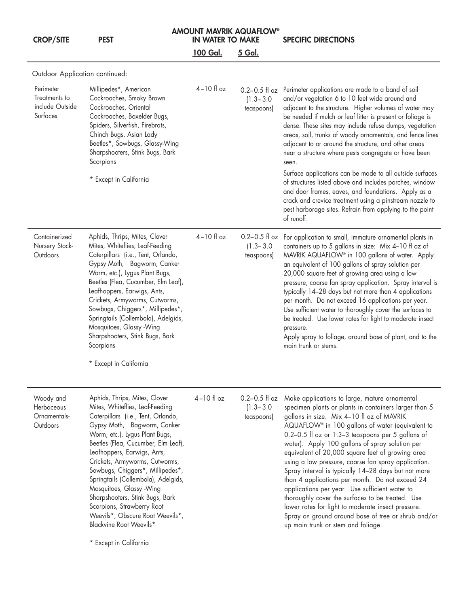| <b>CROP/SITE</b>                                          | <b>PEST</b>                                                                                                                                                                                                                                                                                                                                                                                                                                                                                                                                       | <b>AMOUNT MAVRIK AQUAFLOW®</b><br><b>IN WATER TO MAKE</b> |                                                  | <b>SPECIFIC DIRECTIONS</b>                                                                                                                                                                                                                                                                                                                                                                                                                                                                                                                                                                                                                                                                                                                                                                    |
|-----------------------------------------------------------|---------------------------------------------------------------------------------------------------------------------------------------------------------------------------------------------------------------------------------------------------------------------------------------------------------------------------------------------------------------------------------------------------------------------------------------------------------------------------------------------------------------------------------------------------|-----------------------------------------------------------|--------------------------------------------------|-----------------------------------------------------------------------------------------------------------------------------------------------------------------------------------------------------------------------------------------------------------------------------------------------------------------------------------------------------------------------------------------------------------------------------------------------------------------------------------------------------------------------------------------------------------------------------------------------------------------------------------------------------------------------------------------------------------------------------------------------------------------------------------------------|
|                                                           |                                                                                                                                                                                                                                                                                                                                                                                                                                                                                                                                                   | <b>100 Gal.</b>                                           | 5 Gal.                                           |                                                                                                                                                                                                                                                                                                                                                                                                                                                                                                                                                                                                                                                                                                                                                                                               |
| Outdoor Application continued:                            |                                                                                                                                                                                                                                                                                                                                                                                                                                                                                                                                                   |                                                           |                                                  |                                                                                                                                                                                                                                                                                                                                                                                                                                                                                                                                                                                                                                                                                                                                                                                               |
| Perimeter<br>Treatments to<br>include Outside<br>Surfaces | Millipedes*, American<br>Cockroaches, Smoky Brown<br>Cockroaches, Oriental<br>Cockroaches, Boxelder Bugs,<br>Spiders, Silverfish, Firebrats,<br>Chinch Bugs, Asian Lady<br>Beetles*, Sowbugs, Glassy-Wing<br>Sharpshooters, Stink Bugs, Bark<br>Scorpions                                                                                                                                                                                                                                                                                         | $4-10$ fl oz                                              | $0.2 - 0.5$ fl oz<br>$(1.3 - 3.0)$<br>teaspoons) | Perimeter applications are made to a band of soil<br>and/or vegetation 6 to 10 feet wide around and<br>adjacent to the structure. Higher volumes of water may<br>be needed if mulch or leaf litter is present or foliage is<br>dense. These sites may include refuse dumps, vegetation<br>areas, soil, trunks of woody ornamentals, and fence lines<br>adjacent to or around the structure, and other areas<br>near a structure where pests congregate or have been<br>seen.                                                                                                                                                                                                                                                                                                                  |
|                                                           | * Except in California                                                                                                                                                                                                                                                                                                                                                                                                                                                                                                                            |                                                           |                                                  | Surface applications can be made to all outside surfaces<br>of structures listed above and includes porches, window<br>and door frames, eaves, and foundations. Apply as a<br>crack and crevice treatment using a pinstream nozzle to<br>pest harborage sites. Refrain from applying to the point<br>of runoff.                                                                                                                                                                                                                                                                                                                                                                                                                                                                               |
| Containerized<br>Nursery Stock-<br>Outdoors               | Aphids, Thrips, Mites, Clover<br>Mites, Whiteflies, Leaf-Feeding<br>Caterpillars (i.e., Tent, Orlando,<br>Gypsy Moth, Bagworm, Canker<br>Worm, etc.), Lygus Plant Bugs,<br>Beetles (Flea, Cucumber, Elm Leaf),<br>Leafhoppers, Earwigs, Ants,<br>Crickets, Armyworms, Cutworms,<br>Sowbugs, Chiggers*, Millipedes*,<br>Springtails (Collembola), Adelgids,<br>Mosquitoes, Glassy -Wing<br>Sharpshooters, Stink Bugs, Bark<br>Scorpions<br>* Except in California                                                                                  | $4-10$ fl oz                                              | $(1.3 - 3.0)$<br>teaspoons)                      | 0.2-0.5 fl oz For application to small, immature ornamental plants in<br>containers up to 5 gallons in size: Mix 4-10 fl oz of<br>MAVRIK AQUAFLOW® in 100 gallons of water. Apply<br>an equivalent of 100 gallons of spray solution per<br>20,000 square feet of growing area using a low<br>pressure, coarse fan spray application. Spray interval is<br>typically 14-28 days but not more than 4 applications<br>per month. Do not exceed 16 applications per year.<br>Use sufficient water to thoroughly cover the surfaces to<br>be treated. Use lower rates for light to moderate insect<br>pressure.<br>Apply spray to foliage, around base of plant, and to the<br>main trunk or stems.                                                                                                |
| Woody and<br>Herbaceous<br>Ornamentals-<br>Outdoors       | Aphids, Thrips, Mites, Clover<br>Mites, Whiteflies, Leaf-Feeding<br>Caterpillars (i.e., Tent, Orlando,<br>Gypsy Moth, Bagworm, Canker<br>Worm, etc.), Lygus Plant Bugs,<br>Beetles (Flea, Cucumber, Elm Leaf),<br>Leafhoppers, Earwigs, Ants,<br>Crickets, Armyworms, Cutworms,<br>Sowbugs, Chiggers*, Millipedes*,<br>Springtails (Collembola), Adelgids,<br>Mosquitoes, Glassy - Wing<br>Sharpshooters, Stink Bugs, Bark<br>Scorpions, Strawberry Root<br>Weevils*, Obscure Root Weevils*,<br>Blackvine Root Weevils*<br>* Except in California | $4-10$ fl oz                                              | $0.2 - 0.5$ fl oz<br>$(1.3 - 3.0)$<br>teaspoons) | Make applications to large, mature ornamental<br>specimen plants or plants in containers larger than 5<br>gallons in size. Mix 4-10 fl oz of MAVRIK<br>AQUAFLOW® in 100 gallons of water (equivalent to<br>0.2-0.5 fl oz or 1.3-3 teaspoons per 5 gallons of<br>water). Apply 100 gallons of spray solution per<br>equivalent of 20,000 square feet of growing area<br>using a low pressure, coarse fan spray application.<br>Spray interval is typically 14-28 days but not more<br>than 4 applications per month. Do not exceed 24<br>applications per year. Use sufficient water to<br>thoroughly cover the surfaces to be treated. Use<br>lower rates for light to moderate insect pressure.<br>Spray on ground around base of tree or shrub and/or<br>up main trunk or stem and foliage. |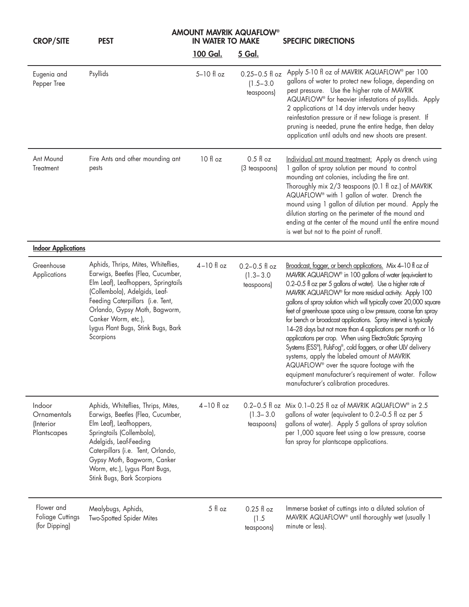| <b>CROP/SITE</b>                                       | <b>PEST</b>                                                                                                                                                                                                                                                                                    | <b>IN WATER TO MAKE</b> | <b>AMOUNT MAVRIK AQUAFLOW®</b>                    | <b>SPECIFIC DIRECTIONS</b>                                                                                                                                                                                                                                                                                                                                                                                                                                                                                                                                                                                                                                                                                                                                                                                                                                           |  |
|--------------------------------------------------------|------------------------------------------------------------------------------------------------------------------------------------------------------------------------------------------------------------------------------------------------------------------------------------------------|-------------------------|---------------------------------------------------|----------------------------------------------------------------------------------------------------------------------------------------------------------------------------------------------------------------------------------------------------------------------------------------------------------------------------------------------------------------------------------------------------------------------------------------------------------------------------------------------------------------------------------------------------------------------------------------------------------------------------------------------------------------------------------------------------------------------------------------------------------------------------------------------------------------------------------------------------------------------|--|
|                                                        |                                                                                                                                                                                                                                                                                                | 100 Gal.                | <u>5 Gal.</u>                                     |                                                                                                                                                                                                                                                                                                                                                                                                                                                                                                                                                                                                                                                                                                                                                                                                                                                                      |  |
| Eugenia and<br>Pepper Tree                             | Psyllids                                                                                                                                                                                                                                                                                       | 5-10 fl oz              | $0.25 - 0.5$ fl oz<br>$(1.5 - 3.0)$<br>teaspoons) | Apply 5-10 fl oz of MAVRIK AQUAFLOW® per 100<br>gallons of water to protect new foliage, depending on<br>pest pressure. Use the higher rate of MAVRIK<br>AQUAFLOW <sup>®</sup> for heavier infestations of psyllids. Apply<br>2 applications at 14 day intervals under heavy<br>reinfestation pressure or if new foliage is present. If<br>pruning is needed, prune the entire hedge, then delay<br>application until adults and new shoots are present.                                                                                                                                                                                                                                                                                                                                                                                                             |  |
| Ant Mound<br>Treatment                                 | Fire Ants and other mounding ant<br>pests                                                                                                                                                                                                                                                      | 10 fl oz                | $0.5$ fl oz<br>(3 teaspoons)                      | Individual ant mound treatment: Apply as drench using<br>1 gallon of spray solution per mound to control<br>mounding ant colonies, including the fire ant.<br>Thoroughly mix 2/3 teaspoons (0.1 fl oz.) of MAVRIK<br>AQUAFLOW <sup>®</sup> with 1 gallon of water. Drench the<br>mound using 1 gallon of dilution per mound. Apply the<br>dilution starting on the perimeter of the mound and<br>ending at the center of the mound until the entire mound<br>is wet but not to the point of runoff.                                                                                                                                                                                                                                                                                                                                                                  |  |
| <b>Indoor Applications</b>                             |                                                                                                                                                                                                                                                                                                |                         |                                                   |                                                                                                                                                                                                                                                                                                                                                                                                                                                                                                                                                                                                                                                                                                                                                                                                                                                                      |  |
| Greenhouse<br>Applications                             | Aphids, Thrips, Mites, Whiteflies,<br>Earwigs, Beetles (Flea, Cucumber,<br>Elm Leaf), Leafhoppers, Springtails<br>(Collembola), Adelgids, Leaf-<br>Feeding Caterpillars (i.e. Tent,<br>Orlando, Gypsy Moth, Bagworm,<br>Canker Worm, etc.),<br>Lygus Plant Bugs, Stink Bugs, Bark<br>Scorpions | $4-10$ fl oz            | $0.2 - 0.5$ fl oz<br>$(1.3 - 3.0)$<br>teaspoons)  | Broadcast, fogger, or bench applications. Mix 4-10 fl oz of<br>MAVRIK AQUAFLOW® in 100 gallons of water (equivalent to<br>0.2-0.5 fl oz per 5 gallons of water). Use a higher rate of<br>MAVRIK AQUAFLOW® for more residual activity. Apply 100<br>gallons of spray solution which will typically cover 20,000 square<br>feet of greenhouse space using a low pressure, coarse fan spray<br>for bench or broadcast applications. Spray interval is typically<br>14-28 days but not more than 4 applications per month or 16<br>applications per crop. When using ElectroStatic Spraying<br>Systems (ESS®), PulsFog®, cold foggers, or other ULV delivery<br>systems, apply the labeled amount of MAVRIK<br>AQUAFLOW <sup>®</sup> over the square footage with the<br>equipment manufacturer's requirement of water. Follow<br>manufacturer's calibration procedures. |  |
| Indoor<br>Ornamentals<br>(Interior<br>Plantscapes      | Aphids, Whiteflies, Thrips, Mites,<br>Earwigs, Beetles (Flea, Cucumber,<br>Elm Leaf), Leafhoppers,<br>Springtails (Collembola),<br>Adelgids, Leaf-Feeding<br>Caterpillars (i.e. Tent, Orlando,<br>Gypsy Moth, Bagworm, Canker<br>Worm, etc.), Lygus Plant Bugs,<br>Stink Bugs, Bark Scorpions  | $4-10$ fl oz            | $(1.3 - 3.0)$<br>teaspoons)                       | 0.2-0.5 fl oz Mix 0.1-0.25 fl oz of MAVRIK AQUAFLOW <sup>®</sup> in 2.5<br>gallons of water (equivalent to 0.2-0.5 fl oz per 5<br>gallons of water). Apply 5 gallons of spray solution<br>per 1,000 square feet using a low pressure, coarse<br>fan spray for plantscape applications.                                                                                                                                                                                                                                                                                                                                                                                                                                                                                                                                                                               |  |
| Flower and<br><b>Foliage Cuttings</b><br>(for Dipping) | Mealybugs, Aphids,<br>Two-Spotted Spider Mites                                                                                                                                                                                                                                                 | 5 fl oz                 | $0.25$ fl oz<br>(1.5)<br>teaspoons)               | Immerse basket of cuttings into a diluted solution of<br>MAVRIK AQUAFLOW <sup>®</sup> until thoroughly wet (usually 1<br>minute or less).                                                                                                                                                                                                                                                                                                                                                                                                                                                                                                                                                                                                                                                                                                                            |  |